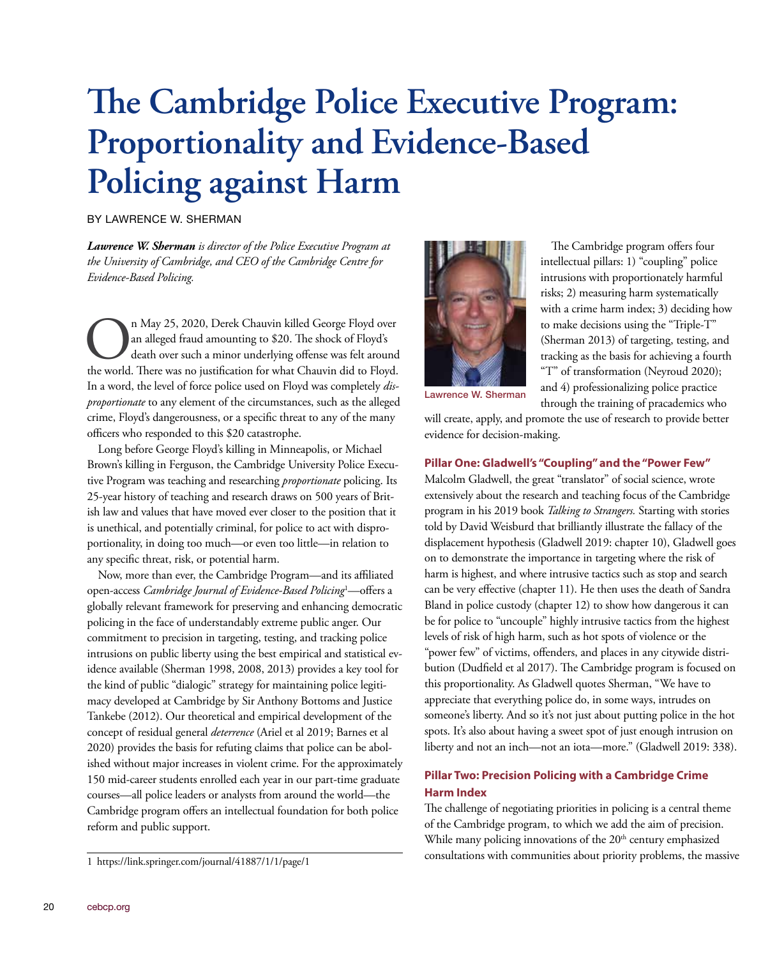# **The Cambridge Police Executive Program: Proportionality and Evidence-Based Policing against Harm**

BY LAWRENCE W. SHERMAN

*Lawrence W. Sherman is director of the Police Executive Program at the University of Cambridge, and CEO of the Cambridge Centre for Evidence-Based Policing.*

In May 25, 2020, Derek Chauvin killed George Floyd over<br>an alleged fraud amounting to \$20. The shock of Floyd's<br>death over such a minor underlying offense was felt around<br>the world. There was no justification for what Chau an alleged fraud amounting to \$20. The shock of Floyd's death over such a minor underlying offense was felt around the world. There was no justification for what Chauvin did to Floyd. In a word, the level of force police used on Floyd was completely *disproportionate* to any element of the circumstances, such as the alleged crime, Floyd's dangerousness, or a specific threat to any of the many officers who responded to this \$20 catastrophe.

Long before George Floyd's killing in Minneapolis, or Michael Brown's killing in Ferguson, the Cambridge University Police Executive Program was teaching and researching *proportionate* policing. Its 25-year history of teaching and research draws on 500 years of British law and values that have moved ever closer to the position that it is unethical, and potentially criminal, for police to act with disproportionality, in doing too much—or even too little—in relation to any specific threat, risk, or potential harm.

Now, more than ever, the Cambridge Program—and its affiliated open-access *Cambridge Journal of Evidence-Based Policing*<sup>1</sup> —offers a globally relevant framework for preserving and enhancing democratic policing in the face of understandably extreme public anger. Our commitment to precision in targeting, testing, and tracking police intrusions on public liberty using the best empirical and statistical evidence available (Sherman 1998, 2008, 2013) provides a key tool for the kind of public "dialogic" strategy for maintaining police legitimacy developed at Cambridge by Sir Anthony Bottoms and Justice Tankebe (2012). Our theoretical and empirical development of the concept of residual general *deterrence* (Ariel et al 2019; Barnes et al 2020) provides the basis for refuting claims that police can be abolished without major increases in violent crime. For the approximately 150 mid-career students enrolled each year in our part-time graduate courses—all police leaders or analysts from around the world—the Cambridge program offers an intellectual foundation for both police reform and public support.



The Cambridge program offers four intellectual pillars: 1) "coupling" police intrusions with proportionately harmful risks; 2) measuring harm systematically with a crime harm index; 3) deciding how to make decisions using the "Triple-T" (Sherman 2013) of targeting, testing, and tracking as the basis for achieving a fourth "T" of transformation (Neyroud 2020); and 4) professionalizing police practice through the training of pracademics who

Lawrence W. Sherman

will create, apply, and promote the use of research to provide better evidence for decision-making.

#### **Pillar One: Gladwell's "Coupling" and the "Power Few"**

Malcolm Gladwell, the great "translator" of social science, wrote extensively about the research and teaching focus of the Cambridge program in his 2019 book *Talking to Strangers.* Starting with stories told by David Weisburd that brilliantly illustrate the fallacy of the displacement hypothesis (Gladwell 2019: chapter 10), Gladwell goes on to demonstrate the importance in targeting where the risk of harm is highest, and where intrusive tactics such as stop and search can be very effective (chapter 11). He then uses the death of Sandra Bland in police custody (chapter 12) to show how dangerous it can be for police to "uncouple" highly intrusive tactics from the highest levels of risk of high harm, such as hot spots of violence or the "power few" of victims, offenders, and places in any citywide distribution (Dudfield et al 2017). The Cambridge program is focused on this proportionality. As Gladwell quotes Sherman, "We have to appreciate that everything police do, in some ways, intrudes on someone's liberty. And so it's not just about putting police in the hot spots. It's also about having a sweet spot of just enough intrusion on liberty and not an inch—not an iota—more." (Gladwell 2019: 338).

## **Pillar Two: Precision Policing with a Cambridge Crime Harm Index**

The challenge of negotiating priorities in policing is a central theme of the Cambridge program, to which we add the aim of precision. While many policing innovations of the  $20<sup>th</sup>$  century emphasized consultations with communities about priority problems, the massive

<sup>1</sup> https://link.springer.com/journal/41887/1/1/page/1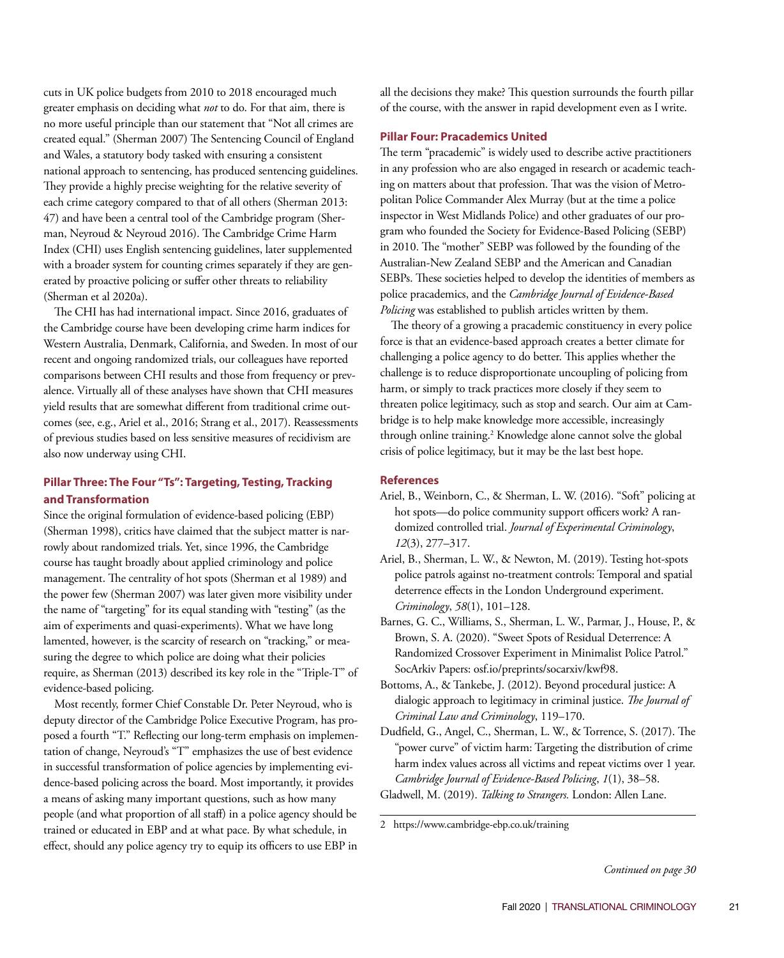cuts in UK police budgets from 2010 to 2018 encouraged much greater emphasis on deciding what *not* to do. For that aim, there is no more useful principle than our statement that "Not all crimes are created equal." (Sherman 2007) The Sentencing Council of England and Wales, a statutory body tasked with ensuring a consistent national approach to sentencing, has produced sentencing guidelines. They provide a highly precise weighting for the relative severity of each crime category compared to that of all others (Sherman 2013: 47) and have been a central tool of the Cambridge program (Sherman, Neyroud & Neyroud 2016). The Cambridge Crime Harm Index (CHI) uses English sentencing guidelines, later supplemented with a broader system for counting crimes separately if they are generated by proactive policing or suffer other threats to reliability (Sherman et al 2020a).

The CHI has had international impact. Since 2016, graduates of the Cambridge course have been developing crime harm indices for Western Australia, Denmark, California, and Sweden. In most of our recent and ongoing randomized trials, our colleagues have reported comparisons between CHI results and those from frequency or prevalence. Virtually all of these analyses have shown that CHI measures yield results that are somewhat different from traditional crime outcomes (see, e.g., Ariel et al., 2016; Strang et al., 2017). Reassessments of previous studies based on less sensitive measures of recidivism are also now underway using CHI.

## **Pillar Three: The Four "Ts": Targeting, Testing, Tracking and Transformation**

Since the original formulation of evidence-based policing (EBP) (Sherman 1998), critics have claimed that the subject matter is narrowly about randomized trials. Yet, since 1996, the Cambridge course has taught broadly about applied criminology and police management. The centrality of hot spots (Sherman et al 1989) and the power few (Sherman 2007) was later given more visibility under the name of "targeting" for its equal standing with "testing" (as the aim of experiments and quasi-experiments). What we have long lamented, however, is the scarcity of research on "tracking," or measuring the degree to which police are doing what their policies require, as Sherman (2013) described its key role in the "Triple-T" of evidence-based policing.

Most recently, former Chief Constable Dr. Peter Neyroud, who is deputy director of the Cambridge Police Executive Program, has proposed a fourth "T." Reflecting our long-term emphasis on implementation of change, Neyroud's "T" emphasizes the use of best evidence in successful transformation of police agencies by implementing evidence-based policing across the board. Most importantly, it provides a means of asking many important questions, such as how many people (and what proportion of all staff) in a police agency should be trained or educated in EBP and at what pace. By what schedule, in effect, should any police agency try to equip its officers to use EBP in all the decisions they make? This question surrounds the fourth pillar of the course, with the answer in rapid development even as I write.

#### **Pillar Four: Pracademics United**

The term "pracademic" is widely used to describe active practitioners in any profession who are also engaged in research or academic teaching on matters about that profession. That was the vision of Metropolitan Police Commander Alex Murray (but at the time a police inspector in West Midlands Police) and other graduates of our program who founded the Society for Evidence-Based Policing (SEBP) in 2010. The "mother" SEBP was followed by the founding of the Australian-New Zealand SEBP and the American and Canadian SEBPs. These societies helped to develop the identities of members as police pracademics, and the *Cambridge Journal of Evidence-Based Policing* was established to publish articles written by them.

The theory of a growing a pracademic constituency in every police force is that an evidence-based approach creates a better climate for challenging a police agency to do better. This applies whether the challenge is to reduce disproportionate uncoupling of policing from harm, or simply to track practices more closely if they seem to threaten police legitimacy, such as stop and search. Our aim at Cambridge is to help make knowledge more accessible, increasingly through online training.<sup>2</sup> Knowledge alone cannot solve the global crisis of police legitimacy, but it may be the last best hope.

### **References**

- Ariel, B., Weinborn, C., & Sherman, L. W. (2016). "Soft" policing at hot spots—do police community support officers work? A randomized controlled trial. *Journal of Experimental Criminology*, *12*(3), 277–317.
- Ariel, B., Sherman, L. W., & Newton, M. (2019). Testing hot-spots police patrols against no‐treatment controls: Temporal and spatial deterrence effects in the London Underground experiment. *Criminology*, *58*(1), 101–128.
- Barnes, G. C., Williams, S., Sherman, L. W., Parmar, J., House, P., & Brown, S. A. (2020). "Sweet Spots of Residual Deterrence: A Randomized Crossover Experiment in Minimalist Police Patrol." SocArkiv Papers: osf.io/preprints/socarxiv/kwf98.
- Bottoms, A., & Tankebe, J. (2012). Beyond procedural justice: A dialogic approach to legitimacy in criminal justice. *The Journal of Criminal Law and Criminology*, 119–170.
- Dudfield, G., Angel, C., Sherman, L. W., & Torrence, S. (2017). The "power curve" of victim harm: Targeting the distribution of crime harm index values across all victims and repeat victims over 1 year. *Cambridge Journal of Evidence-Based Policing*, *1*(1), 38–58.
- Gladwell, M. (2019). *Talking to Strangers.* London: Allen Lane.

2 https://www.cambridge-ebp.co.uk/training

*Continued on page 30*